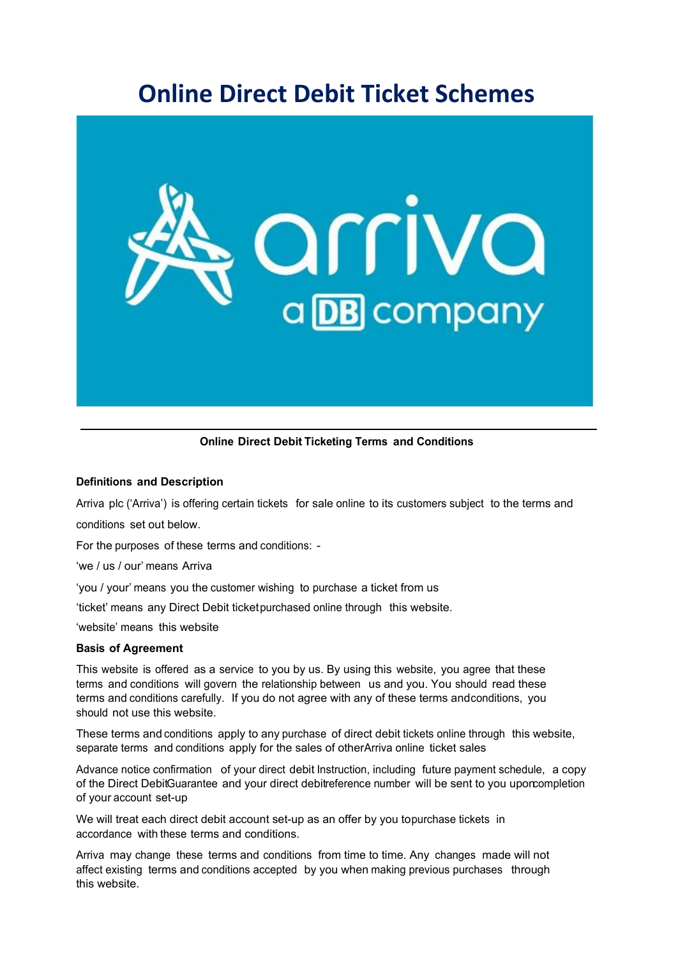# **Online Direct Debit Ticket Schemes**



**Online Direct Debit Ticketing Terms and Conditions**

# **Definitions and Description**

Arriva plc ('Arriva') is offering certain tickets for sale online to its customers subject to the terms and

conditions set out below.

For the purposes of these terms and conditions: -

'we / us / our' means Arriva

'you / your' means you the customer wishing to purchase a ticket from us

'ticket' means any Direct Debit ticket purchased online through this website.

'website' means this website

# **Basis of Agreement**

This website is offered as a service to you by us. By using this website, you agree that these terms and conditions will govern the relationship between us and you. You should read these terms and conditions carefully. If you do not agree with any of these terms and conditions, you should not use this website.

These terms and conditions apply to any purchase of direct debit tickets online through this website, separate terms and conditions apply for the sales of other Arriva online ticket sales

Advance notice confirmation of your direct debit Instruction, including future payment schedule, a copy of the Direct DebitGuarantee and your direct debitreference number will be sent to you upon completion of your account set-up

We will treat each direct debit account set-up as an offer by you topurchase tickets in accordance with these terms and conditions.

Arriva may change these terms and conditions from time to time. Any changes made will not affect existing terms and conditions accepted by you when making previous purchases through this website.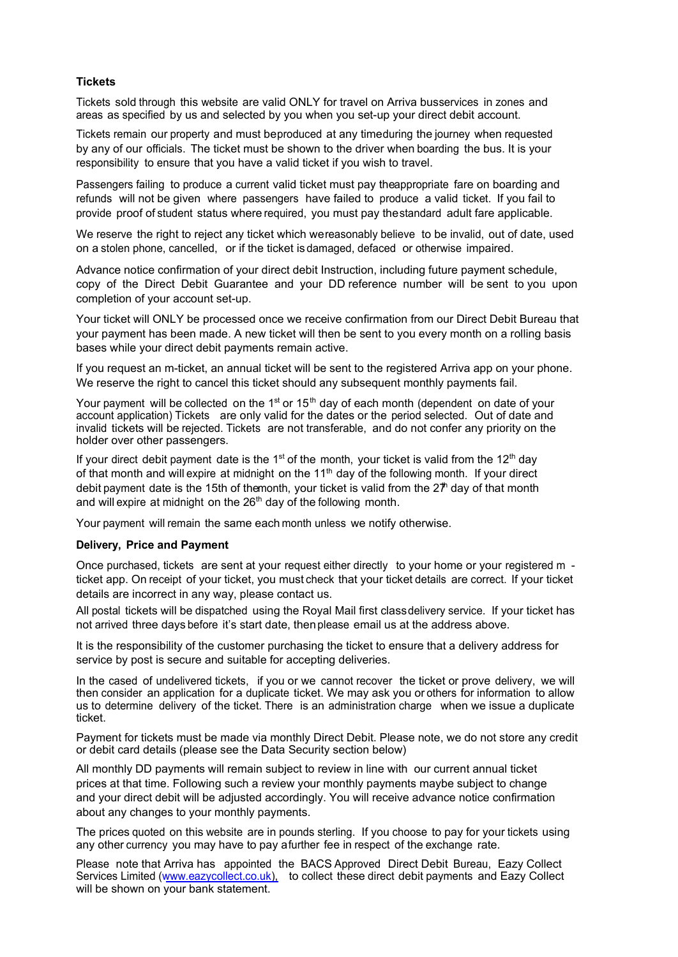## **Tickets**

Tickets sold through this website are valid ONLY for travel on Arriva busservices in zones and areas as specified by us and selected by you when you set-up your direct debit account.

Tickets remain our property and must be produced at any time during the journey when requested by any of our officials. The ticket must be shown to the driver when boarding the bus. It is your responsibility to ensure that you have a valid ticket if you wish to travel.

Passengers failing to produce a current valid ticket must pay the appropriate fare on boarding and refunds will not be given where passengers have failed to produce a valid ticket. If you fail to provide proof of student status where required, you must pay the standard adult fare applicable.

We reserve the right to reject any ticket which we reasonably believe to be invalid, out of date, used on a stolen phone, cancelled, or if the ticket is damaged, defaced or otherwise impaired.

Advance notice confirmation of your direct debit Instruction, including future payment schedule, copy of the Direct Debit Guarantee and your DD reference number will be sent to you upon completion of your account set-up.

Your ticket will ONLY be processed once we receive confirmation from our Direct Debit Bureau that your payment has been made. A new ticket will then be sent to you every month on a rolling basis bases while your direct debit payments remain active.

If you request an m-ticket, an annual ticket will be sent to the registered Arriva app on your phone. We reserve the right to cancel this ticket should any subsequent monthly payments fail.

Your payment will be collected on the  $1<sup>st</sup>$  or  $15<sup>th</sup>$  day of each month (dependent on date of your account application) Tickets are only valid for the dates or the period selected. Out of date and invalid tickets will be rejected. Tickets are not transferable, and do not confer any priority on the holder over other passengers.

If your direct debit payment date is the 1st of the month, your ticket is valid from the 12<sup>th</sup> day of that month and will expire at midnight on the  $11<sup>th</sup>$  day of the following month. If your direct debit payment date is the 15th of the month, your ticket is valid from the  $2\ddot{r}$  day of that month and will expire at midnight on the  $26<sup>th</sup>$  day of the following month.

Your payment will remain the same each month unless we notify otherwise.

#### **Delivery, Price and Payment**

Once purchased, tickets are sent at your request either directly to your home or your registered m ticket app. On receipt of your ticket, you must check that your ticket details are correct. If your ticket details are incorrect in any way, please contact us.

All postal tickets will be dispatched using the Royal Mail first class delivery service. If your ticket has not arrived three days before it's start date, then please email us at the address above.

It is the responsibility of the customer purchasing the ticket to ensure that a delivery address for service by post is secure and suitable for accepting deliveries.

In the cased of undelivered tickets, if you or we cannot recover the ticket or prove delivery, we will then consider an application for a duplicate ticket. We may ask you or others for information to allow us to determine delivery of the ticket. There is an administration charge when we issue a duplicate ticket.

Payment for tickets must be made via monthly Direct Debit. Please note, we do not store any credit or debit card details (please see the Data Security section below)

All monthly DD payments will remain subject to review in line with our current annual ticket prices at that time. Following such a review your monthly payments maybe subject to change and your direct debit will be adjusted accordingly. You will receive advance notice confirmation about any changes to your monthly payments.

The prices quoted on this website are in pounds sterling. If you choose to pay for your tickets using any other currency you may have to pay a further fee in respect of the exchange rate.

Please note that Arriva has appointed the BACS Approved Direct Debit Bureau, Eazy Collect Services Limited (www.eazycollect.co.uk), to collect these direct debit payments and Eazy Collect will be shown on your bank statement.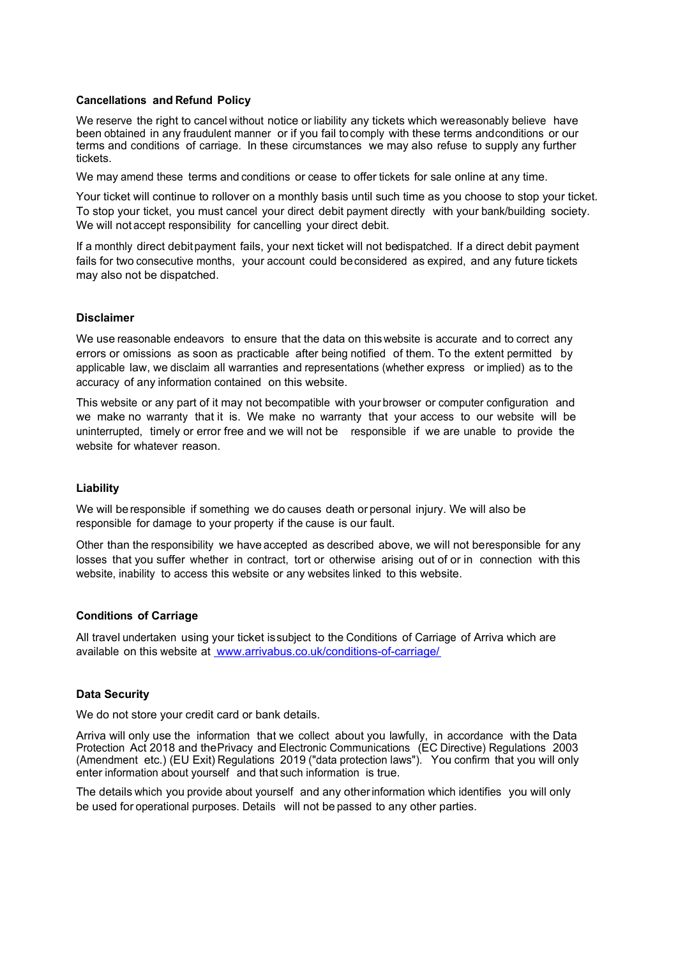#### **Cancellations and Refund Policy**

We reserve the right to cancel without notice or liability any tickets which we reasonably believe have been obtained in any fraudulent manner or if you fail to comply with these terms and conditions or our terms and conditions of carriage. In these circumstances we may also refuse to supply any further tickets.

We may amend these terms and conditions or cease to offer tickets for sale online at any time.

Your ticket will continue to rollover on a monthly basis until such time as you choose to stop your ticket. To stop your ticket, you must cancel your direct debit payment directly with your bank/building society. We will not accept responsibility for cancelling your direct debit.

If a monthly direct debit payment fails, your next ticket will not bedispatched. If a direct debit payment fails for two consecutive months, your account could be considered as expired, and any future tickets may also not be dispatched.

#### **Disclaimer**

We use reasonable endeavors to ensure that the data on this website is accurate and to correct any errors or omissions as soon as practicable after being notified of them. To the extent permitted by applicable law, we disclaim all warranties and representations (whether express or implied) as to the accuracy of any information contained on this website.

This website or any part of it may not becompatible with your browser or computer configuration and we make no warranty that it is. We make no warranty that your access to our website will be uninterrupted, timely or error free and we will not be responsible if we are unable to provide the website for whatever reason.

#### **Liability**

We will be responsible if something we do causes death or personal injury. We will also be responsible for damage to your property if the cause is our fault.

Other than the responsibility we have accepted as described above, we will not be responsible for any losses that you suffer whether in contract, tort or otherwise arising out of or in connection with this website, inability to access this website or any websites linked to this website.

## **Conditions of Carriage**

All travel undertaken using your ticket is subject to the Conditions of Carriage of Arriva which are available on this website at www.arrivabus.co.uk/conditions-of-carriage/

#### **Data Security**

We do not store your credit card or bank details.

Arriva will only use the information that we collect about you lawfully, in accordance with the Data Protection Act 2018 and the Privacy and Electronic Communications (EC Directive) Regulations 2003 (Amendment etc.) (EU Exit) Regulations 2019 ("data protection laws"). You confirm that you will only enter information about yourself and that such information is true.

The details which you provide about yourself and any other information which identifies you will only be used for operational purposes. Details will not be passed to any other parties.